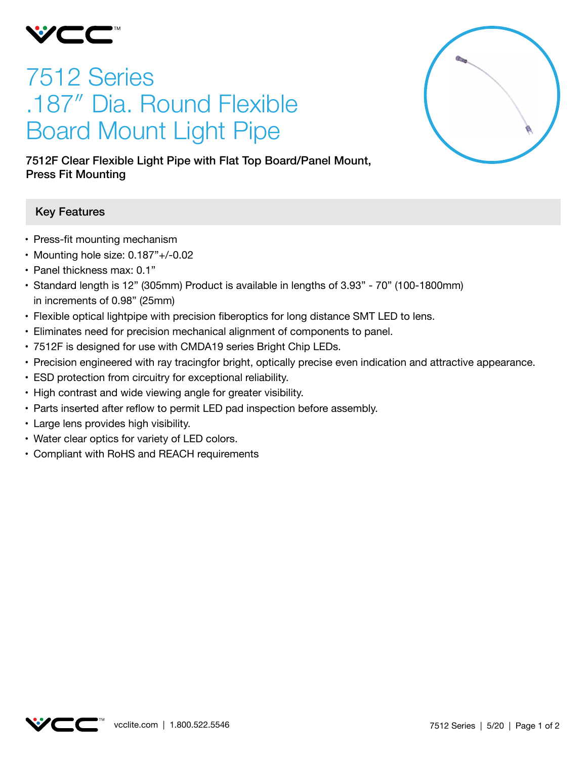

# 7512 Series .187″ Dia. Round Flexible Board Mount Light Pipe



7512F Clear Flexible Light Pipe with Flat Top Board/Panel Mount, Press Fit Mounting

## Key Features

- Press-fit mounting mechanism
- • Mounting hole size: 0.187"+/-0.02
- Panel thickness max: 0.1"
- • Standard length is 12" (305mm) Product is available in lengths of 3.93" 70" (100-1800mm) in increments of 0.98" (25mm)
- Flexible optical lightpipe with precision fiberoptics for long distance SMT LED to lens.
- • Eliminates need for precision mechanical alignment of components to panel.
- 7512F is designed for use with CMDA19 series Bright Chip LEDs.
- Precision engineered with ray tracingfor bright, optically precise even indication and attractive appearance.
- ESD protection from circuitry for exceptional reliability.
- High contrast and wide viewing angle for greater visibility.
- Parts inserted after reflow to permit LED pad inspection before assembly.
- • Large lens provides high visibility.
- Water clear optics for variety of LED colors.
- • Compliant with RoHS and REACH requirements